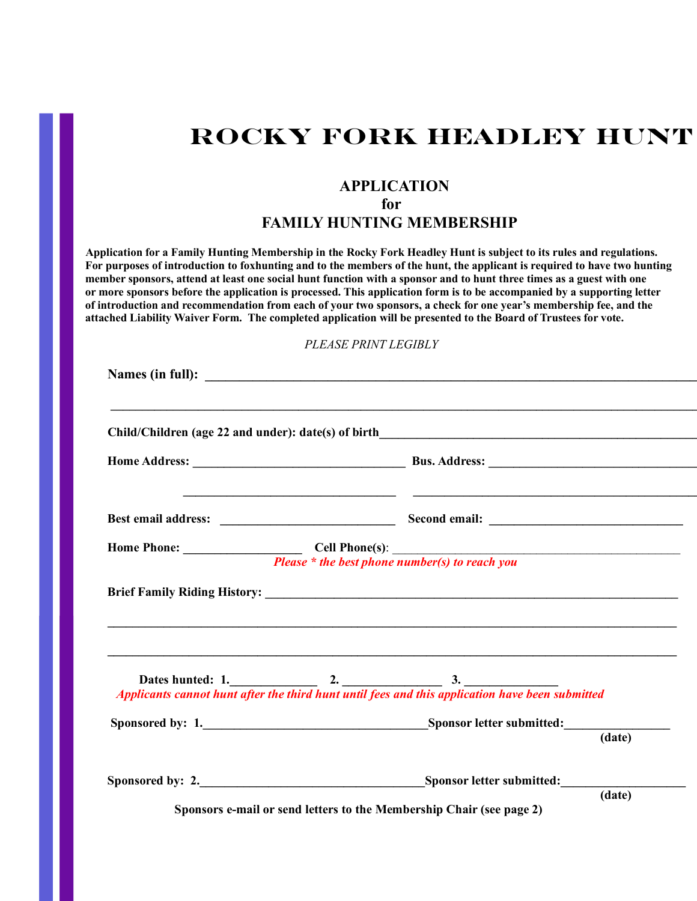# **ROCKY FORK HEADLEY HUNT**

### **APPLICATION**

### **for**

## **FAMILY HUNTING MEMBERSHIP**

**Application for a Family Hunting Membership in the Rocky Fork Headley Hunt is subject to its rules and regulations. For purposes of introduction to foxhunting and to the members of the hunt, the applicant is required to have two hunting member sponsors, attend at least one social hunt function with a sponsor and to hunt three times as a guest with one or more sponsors before the application is processed. This application form is to be accompanied by a supporting letter of introduction and recommendation from each of your two sponsors, a check for one year's membership fee, and the attached Liability Waiver Form. The completed application will be presented to the Board of Trustees for vote.** 

### *PLEASE PRINT LEGIBLY*

| ,我们也不能在这里的时候,我们也不能在这里的时候,我们也不能在这里的时候,我们也不能会在这里的时候,我们也不能会在这里的时候,我们也不能会在这里的时候,我们也不能                                   |        |
|---------------------------------------------------------------------------------------------------------------------|--------|
| ,我们也不能在这里的时候,我们也不能在这里的时候,我们也不能不能不能不能不能不能不能不能不能不能不能不能不能不能不能。""我们的是,我们也不能不能不能不能不能不                                    |        |
|                                                                                                                     |        |
| Dates hunted: 1.<br>Applicants cannot hunt after the third hunt until fees and this application have been submitted |        |
|                                                                                                                     | (data) |
| Sponsored by: 2. Sponsor letter submitted:                                                                          |        |